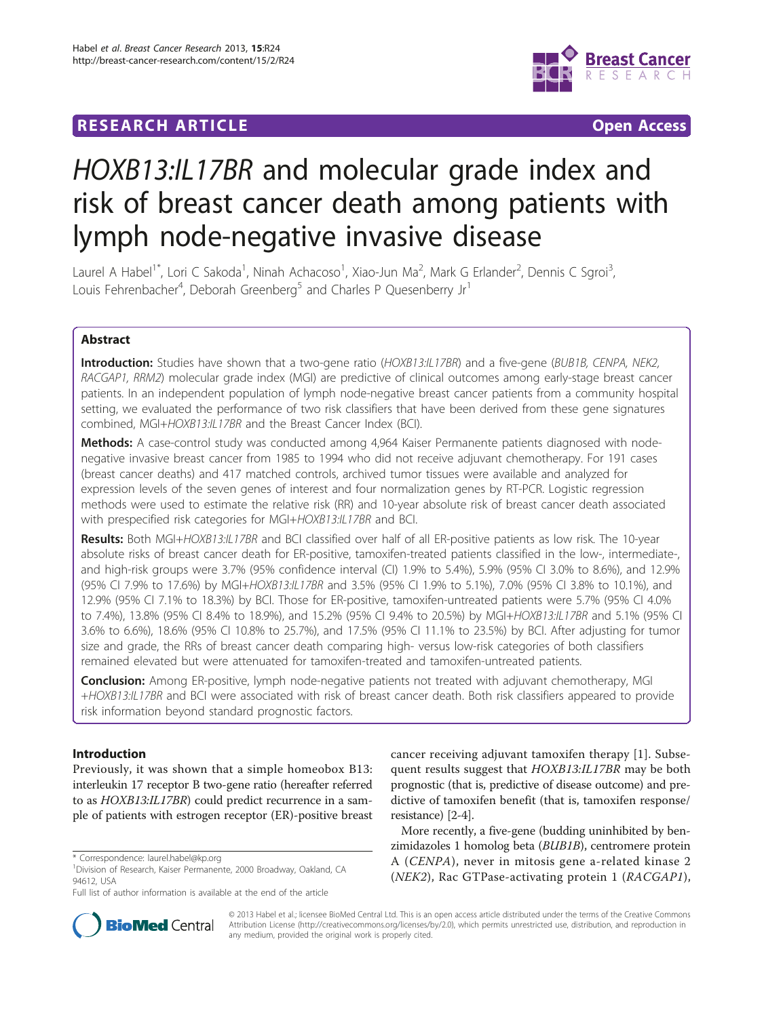# **RESEARCH ARTICLE Example 2018 CONSUMING ACCESS**



# HOXB13:IL17BR and molecular grade index and risk of breast cancer death among patients with lymph node-negative invasive disease

Laurel A Habel<sup>1\*</sup>, Lori C Sakoda<sup>1</sup>, Ninah Achacoso<sup>1</sup>, Xiao-Jun Ma<sup>2</sup>, Mark G Erlander<sup>2</sup>, Dennis C Sgroi<sup>3</sup> , Louis Fehrenbacher<sup>4</sup>, Deborah Greenberg<sup>5</sup> and Charles P Quesenberry Jr<sup>1</sup>

# Abstract

Introduction: Studies have shown that a two-gene ratio (HOXB13:IL17BR) and a five-gene (BUB1B, CENPA, NEK2, RACGAP1, RRM2) molecular grade index (MGI) are predictive of clinical outcomes among early-stage breast cancer patients. In an independent population of lymph node-negative breast cancer patients from a community hospital setting, we evaluated the performance of two risk classifiers that have been derived from these gene signatures combined, MGI+HOXB13:IL17BR and the Breast Cancer Index (BCI).

Methods: A case-control study was conducted among 4,964 Kaiser Permanente patients diagnosed with nodenegative invasive breast cancer from 1985 to 1994 who did not receive adjuvant chemotherapy. For 191 cases (breast cancer deaths) and 417 matched controls, archived tumor tissues were available and analyzed for expression levels of the seven genes of interest and four normalization genes by RT-PCR. Logistic regression methods were used to estimate the relative risk (RR) and 10-year absolute risk of breast cancer death associated with prespecified risk categories for MGI+HOXB13:IL17BR and BCI.

Results: Both MGI+HOXB13:IL17BR and BCI classified over half of all ER-positive patients as low risk. The 10-year absolute risks of breast cancer death for ER-positive, tamoxifen-treated patients classified in the low-, intermediate-, and high-risk groups were 3.7% (95% confidence interval (CI) 1.9% to 5.4%), 5.9% (95% CI 3.0% to 8.6%), and 12.9% (95% CI 7.9% to 17.6%) by MGI+HOXB13:IL17BR and 3.5% (95% CI 1.9% to 5.1%), 7.0% (95% CI 3.8% to 10.1%), and 12.9% (95% CI 7.1% to 18.3%) by BCI. Those for ER-positive, tamoxifen-untreated patients were 5.7% (95% CI 4.0% to 7.4%), 13.8% (95% CI 8.4% to 18.9%), and 15.2% (95% CI 9.4% to 20.5%) by MGI+HOXB13:IL17BR and 5.1% (95% CI 3.6% to 6.6%), 18.6% (95% CI 10.8% to 25.7%), and 17.5% (95% CI 11.1% to 23.5%) by BCI. After adjusting for tumor size and grade, the RRs of breast cancer death comparing high- versus low-risk categories of both classifiers remained elevated but were attenuated for tamoxifen-treated and tamoxifen-untreated patients.

**Conclusion:** Among ER-positive, lymph node-negative patients not treated with adjuvant chemotherapy, MGI +HOXB13:IL17BR and BCI were associated with risk of breast cancer death. Both risk classifiers appeared to provide risk information beyond standard prognostic factors.

# Introduction

Previously, it was shown that a simple homeobox B13: interleukin 17 receptor B two-gene ratio (hereafter referred to as HOXB13:IL17BR) could predict recurrence in a sample of patients with estrogen receptor (ER)-positive breast

Full list of author information is available at the end of the article



cancer receiving adjuvant tamoxifen therapy [\[1](#page-9-0)]. Subsequent results suggest that HOXB13:IL17BR may be both prognostic (that is, predictive of disease outcome) and predictive of tamoxifen benefit (that is, tamoxifen response/ resistance) [[2-4\]](#page-9-0).

More recently, a five-gene (budding uninhibited by benzimidazoles 1 homolog beta (BUB1B), centromere protein A (CENPA), never in mitosis gene a-related kinase 2 (NEK2), Rac GTPase-activating protein 1 (RACGAP1),

© 2013 Habel et al.; licensee BioMed Central Ltd. This is an open access article distributed under the terms of the Creative Commons Attribution License [\(http://creativecommons.org/licenses/by/2.0](http://creativecommons.org/licenses/by/2.0)), which permits unrestricted use, distribution, and reproduction in any medium, provided the original work is properly cited.

<sup>\*</sup> Correspondence: [laurel.habel@kp.org](mailto:laurel.habel@kp.org)

<sup>1</sup> Division of Research, Kaiser Permanente, 2000 Broadway, Oakland, CA 94612, USA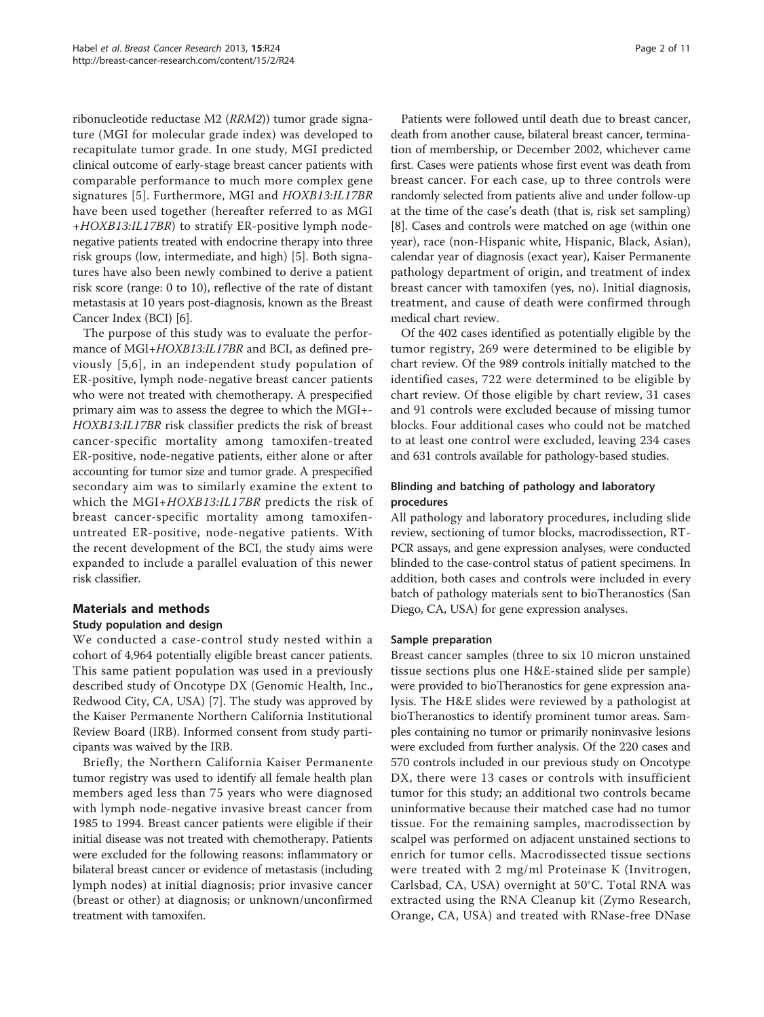ribonucleotide reductase M2 (RRM2)) tumor grade signature (MGI for molecular grade index) was developed to recapitulate tumor grade. In one study, MGI predicted clinical outcome of early-stage breast cancer patients with comparable performance to much more complex gene signatures [[5\]](#page-9-0). Furthermore, MGI and HOXB13:IL17BR have been used together (hereafter referred to as MGI <sup>+</sup>HOXB13:IL17BR) to stratify ER-positive lymph nodenegative patients treated with endocrine therapy into three risk groups (low, intermediate, and high) [\[5](#page-9-0)]. Both signatures have also been newly combined to derive a patient risk score (range: 0 to 10), reflective of the rate of distant metastasis at 10 years post-diagnosis, known as the Breast Cancer Index (BCI) [\[6\]](#page-9-0).

The purpose of this study was to evaluate the performance of MGI+HOXB13:IL17BR and BCI, as defined previously [[5](#page-9-0),[6\]](#page-9-0), in an independent study population of ER-positive, lymph node-negative breast cancer patients who were not treated with chemotherapy. A prespecified primary aim was to assess the degree to which the MGI+- HOXB13:IL17BR risk classifier predicts the risk of breast cancer-specific mortality among tamoxifen-treated ER-positive, node-negative patients, either alone or after accounting for tumor size and tumor grade. A prespecified secondary aim was to similarly examine the extent to which the MGI+HOXB13:IL17BR predicts the risk of breast cancer-specific mortality among tamoxifenuntreated ER-positive, node-negative patients. With the recent development of the BCI, the study aims were expanded to include a parallel evaluation of this newer risk classifier.

## Materials and methods

## Study population and design

We conducted a case-control study nested within a cohort of 4,964 potentially eligible breast cancer patients. This same patient population was used in a previously described study of Oncotype DX (Genomic Health, Inc., Redwood City, CA, USA) [[7\]](#page-9-0). The study was approved by the Kaiser Permanente Northern California Institutional Review Board (IRB). Informed consent from study participants was waived by the IRB.

Briefly, the Northern California Kaiser Permanente tumor registry was used to identify all female health plan members aged less than 75 years who were diagnosed with lymph node-negative invasive breast cancer from 1985 to 1994. Breast cancer patients were eligible if their initial disease was not treated with chemotherapy. Patients were excluded for the following reasons: inflammatory or bilateral breast cancer or evidence of metastasis (including lymph nodes) at initial diagnosis; prior invasive cancer (breast or other) at diagnosis; or unknown/unconfirmed treatment with tamoxifen.

Patients were followed until death due to breast cancer, death from another cause, bilateral breast cancer, termination of membership, or December 2002, whichever came first. Cases were patients whose first event was death from breast cancer. For each case, up to three controls were randomly selected from patients alive and under follow-up at the time of the case's death (that is, risk set sampling) [[8\]](#page-9-0). Cases and controls were matched on age (within one year), race (non-Hispanic white, Hispanic, Black, Asian), calendar year of diagnosis (exact year), Kaiser Permanente pathology department of origin, and treatment of index breast cancer with tamoxifen (yes, no). Initial diagnosis, treatment, and cause of death were confirmed through medical chart review.

Of the 402 cases identified as potentially eligible by the tumor registry, 269 were determined to be eligible by chart review. Of the 989 controls initially matched to the identified cases, 722 were determined to be eligible by chart review. Of those eligible by chart review, 31 cases and 91 controls were excluded because of missing tumor blocks. Four additional cases who could not be matched to at least one control were excluded, leaving 234 cases and 631 controls available for pathology-based studies.

# Blinding and batching of pathology and laboratory procedures

All pathology and laboratory procedures, including slide review, sectioning of tumor blocks, macrodissection, RT-PCR assays, and gene expression analyses, were conducted blinded to the case-control status of patient specimens. In addition, both cases and controls were included in every batch of pathology materials sent to bioTheranostics (San Diego, CA, USA) for gene expression analyses.

## Sample preparation

Breast cancer samples (three to six 10 micron unstained tissue sections plus one H&E-stained slide per sample) were provided to bioTheranostics for gene expression analysis. The H&E slides were reviewed by a pathologist at bioTheranostics to identify prominent tumor areas. Samples containing no tumor or primarily noninvasive lesions were excluded from further analysis. Of the 220 cases and 570 controls included in our previous study on Oncotype DX, there were 13 cases or controls with insufficient tumor for this study; an additional two controls became uninformative because their matched case had no tumor tissue. For the remaining samples, macrodissection by scalpel was performed on adjacent unstained sections to enrich for tumor cells. Macrodissected tissue sections were treated with 2 mg/ml Proteinase K (Invitrogen, Carlsbad, CA, USA) overnight at 50°C. Total RNA was extracted using the RNA Cleanup kit (Zymo Research, Orange, CA, USA) and treated with RNase-free DNase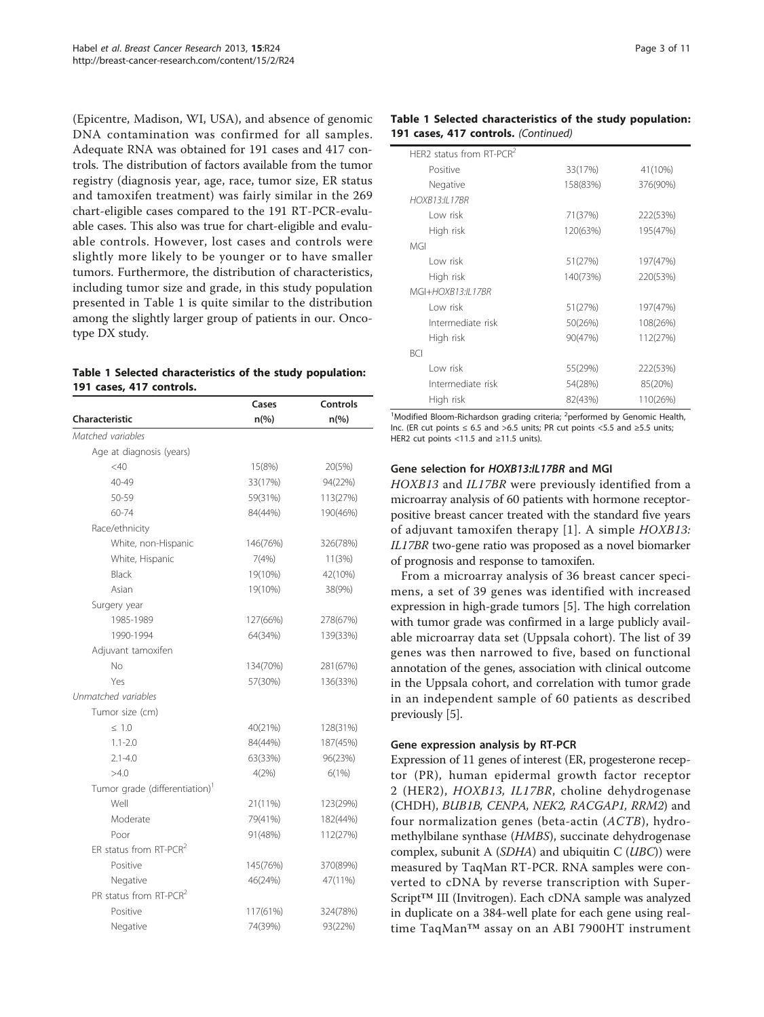<span id="page-2-0"></span>(Epicentre, Madison, WI, USA), and absence of genomic DNA contamination was confirmed for all samples. Adequate RNA was obtained for 191 cases and 417 controls. The distribution of factors available from the tumor registry (diagnosis year, age, race, tumor size, ER status and tamoxifen treatment) was fairly similar in the 269 chart-eligible cases compared to the 191 RT-PCR-evaluable cases. This also was true for chart-eligible and evaluable controls. However, lost cases and controls were slightly more likely to be younger or to have smaller tumors. Furthermore, the distribution of characteristics, including tumor size and grade, in this study population presented in Table 1 is quite similar to the distribution among the slightly larger group of patients in our. Oncotype DX study.

#### Table 1 Selected characteristics of the study population: 191 cases, 417 controls.

|                                            | Cases              | <b>Controls</b> |
|--------------------------------------------|--------------------|-----------------|
| <b>Characteristic</b>                      | $n\left(\%\right)$ | $n\frac{6}{6}$  |
| Matched variables                          |                    |                 |
| Age at diagnosis (years)                   |                    |                 |
| $<$ 40                                     | 15(8%)             | 20(5%)          |
| 40-49                                      | 33(17%)            | 94(22%)         |
| 50-59                                      | 59(31%)            | 113(27%)        |
| 60-74                                      | 84(44%)            | 190(46%)        |
| Race/ethnicity                             |                    |                 |
| White, non-Hispanic                        | 146(76%)           | 326(78%)        |
| White, Hispanic                            | 7(4%)              | 11(3%)          |
| Black                                      | 19(10%)            | 42(10%)         |
| Asian                                      | 19(10%)            | 38(9%)          |
| Surgery year                               |                    |                 |
| 1985-1989                                  | 127(66%)           | 278(67%)        |
| 1990-1994                                  | 64(34%)            | 139(33%)        |
| Adjuvant tamoxifen                         |                    |                 |
| No                                         | 134(70%)           | 281(67%)        |
| Yes                                        | 57(30%)            | 136(33%)        |
| Unmatched variables                        |                    |                 |
| Tumor size (cm)                            |                    |                 |
| $\leq 1.0$                                 | 40(21%)            | 128(31%)        |
| $1.1 - 2.0$                                | 84(44%)            | 187(45%)        |
| $2.1 - 4.0$                                | 63(33%)            | 96(23%)         |
| >4.0                                       | 4(2%)              | 6(1%)           |
| Tumor grade (differentiation) <sup>1</sup> |                    |                 |
| Well                                       | 21(11%)            | 123(29%)        |
| Moderate                                   | 79(41%)            | 182(44%)        |
| Poor                                       | 91(48%)            | 112(27%)        |
| ER status from RT-PCR <sup>2</sup>         |                    |                 |
| Positive                                   | 145(76%)           | 370(89%)        |
| Negative                                   | 46(24%)            | 47(11%)         |
| PR status from RT-PCR <sup>2</sup>         |                    |                 |
| Positive                                   | 117(61%)           | 324(78%)        |
| Negative                                   | 74(39%)            | 93(22%)         |

# Table 1 Selected characteristics of the study population: 191 cases, 417 controls. (Continued)

| HFR2 status from RT-PCR <sup>2</sup> |          |          |
|--------------------------------------|----------|----------|
| Positive                             | 33(17%)  | 41(10%)  |
| Negative                             | 158(83%) | 376(90%) |
| <b>HOXB13:II 17BR</b>                |          |          |
| Low risk                             | 71(37%)  | 222(53%) |
| High risk                            | 120(63%) | 195(47%) |
| MGI                                  |          |          |
| Low risk                             | 51(27%)  | 197(47%) |
| High risk                            | 140(73%) | 220(53%) |
| MGI+HOXB13:II 17BR                   |          |          |
| Low risk                             | 51(27%)  | 197(47%) |
| Intermediate risk                    | 50(26%)  | 108(26%) |
| High risk                            | 90(47%)  | 112(27%) |
| <b>BCI</b>                           |          |          |
| Low risk                             | 55(29%)  | 222(53%) |
| Intermediate risk                    | 54(28%)  | 85(20%)  |
| High risk                            | 82(43%)  | 110(26%) |
|                                      |          |          |

<sup>1</sup>Modified Bloom-Richardson grading criteria; <sup>2</sup>performed by Genomic Health, Inc. (ER cut points ≤ 6.5 and >6.5 units; PR cut points <5.5 and ≥5.5 units; HER2 cut points <11.5 and ≥11.5 units).

## Gene selection for HOXB13:IL17BR and MGI

HOXB13 and IL17BR were previously identified from a microarray analysis of 60 patients with hormone receptorpositive breast cancer treated with the standard five years of adjuvant tamoxifen therapy [[1](#page-9-0)]. A simple HOXB13: IL17BR two-gene ratio was proposed as a novel biomarker of prognosis and response to tamoxifen.

From a microarray analysis of 36 breast cancer specimens, a set of 39 genes was identified with increased expression in high-grade tumors [\[5](#page-9-0)]. The high correlation with tumor grade was confirmed in a large publicly available microarray data set (Uppsala cohort). The list of 39 genes was then narrowed to five, based on functional annotation of the genes, association with clinical outcome in the Uppsala cohort, and correlation with tumor grade in an independent sample of 60 patients as described previously [[5\]](#page-9-0).

## Gene expression analysis by RT-PCR

Expression of 11 genes of interest (ER, progesterone receptor (PR), human epidermal growth factor receptor 2 (HER2), HOXB13, IL17BR, choline dehydrogenase (CHDH), BUB1B, CENPA, NEK2, RACGAP1, RRM2) and four normalization genes (beta-actin (ACTB), hydromethylbilane synthase (HMBS), succinate dehydrogenase complex, subunit A (SDHA) and ubiquitin  $C (UBC)$ ) were measured by TaqMan RT-PCR. RNA samples were converted to cDNA by reverse transcription with Super-Script™ III (Invitrogen). Each cDNA sample was analyzed in duplicate on a 384-well plate for each gene using realtime TaqMan™ assay on an ABI 7900HT instrument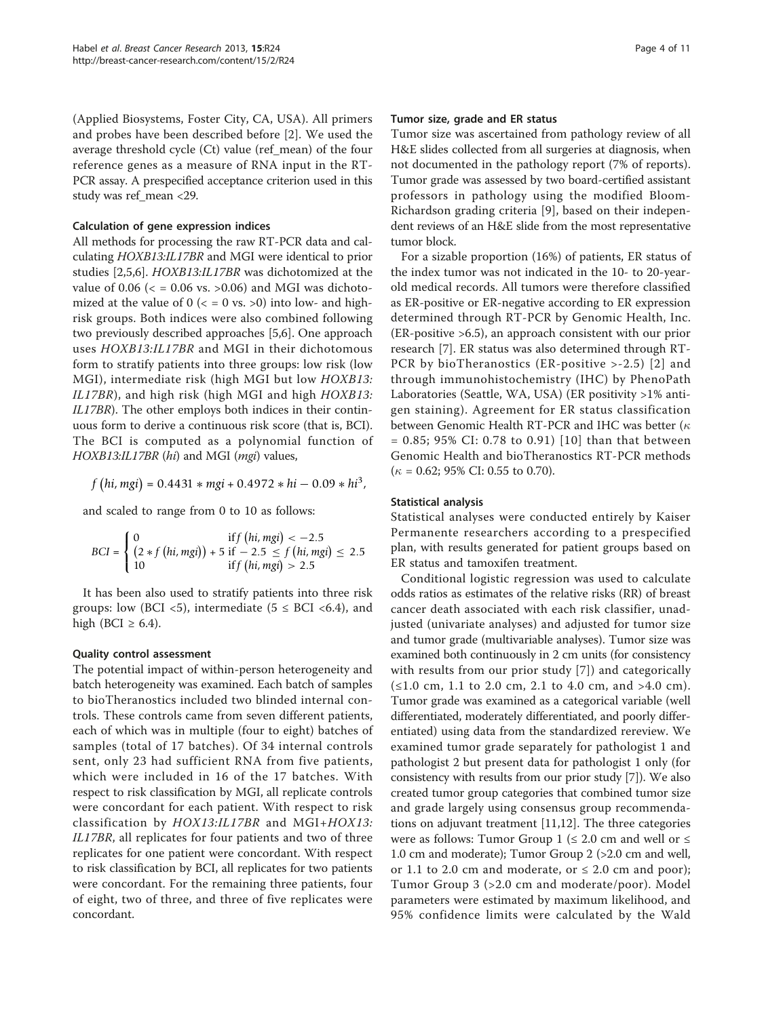(Applied Biosystems, Foster City, CA, USA). All primers and probes have been described before [[2\]](#page-9-0). We used the average threshold cycle (Ct) value (ref\_mean) of the four reference genes as a measure of RNA input in the RT-PCR assay. A prespecified acceptance criterion used in this study was ref\_mean <29.

#### Calculation of gene expression indices

All methods for processing the raw RT-PCR data and calculating HOXB13:IL17BR and MGI were identical to prior studies [\[2,5,6](#page-9-0)]. HOXB13:IL17BR was dichotomized at the value of 0.06 ( $\epsilon$  = 0.06 vs. >0.06) and MGI was dichotomized at the value of  $0$  ( $\lt$  = 0 vs.  $>$ 0) into low- and highrisk groups. Both indices were also combined following two previously described approaches [\[5,6](#page-9-0)]. One approach uses HOXB13:IL17BR and MGI in their dichotomous form to stratify patients into three groups: low risk (low MGI), intermediate risk (high MGI but low HOXB13: IL17BR), and high risk (high MGI and high HOXB13: IL17BR). The other employs both indices in their continuous form to derive a continuous risk score (that is, BCI). The BCI is computed as a polynomial function of HOXB13:IL17BR (hi) and MGI (mgi) values,

$$
f (hi, mgi) = 0.4431 * mgi + 0.4972 * hi - 0.09 * hi3,
$$

and scaled to range from 0 to 10 as follows:

$$
BCI = \begin{cases} 0 & \text{if } f(hi, mgi) < -2.5\\ (2*f(hi, mgi)) + 5 \text{ if } -2.5 \le f(hi, mgi) \le 2.5\\ 10 & \text{if } f(hi, mgi) > 2.5 \end{cases}
$$

It has been also used to stratify patients into three risk groups: low (BCI <5), intermediate ( $5 \le BCI$  <6.4), and high (BCI  $\geq$  6.4).

#### Quality control assessment

The potential impact of within-person heterogeneity and batch heterogeneity was examined. Each batch of samples to bioTheranostics included two blinded internal controls. These controls came from seven different patients, each of which was in multiple (four to eight) batches of samples (total of 17 batches). Of 34 internal controls sent, only 23 had sufficient RNA from five patients, which were included in 16 of the 17 batches. With respect to risk classification by MGI, all replicate controls were concordant for each patient. With respect to risk classification by HOX13:IL17BR and MGI+HOX13: IL17BR, all replicates for four patients and two of three replicates for one patient were concordant. With respect to risk classification by BCI, all replicates for two patients were concordant. For the remaining three patients, four of eight, two of three, and three of five replicates were concordant.

#### Tumor size, grade and ER status

Tumor size was ascertained from pathology review of all H&E slides collected from all surgeries at diagnosis, when not documented in the pathology report (7% of reports). Tumor grade was assessed by two board-certified assistant professors in pathology using the modified Bloom-Richardson grading criteria [\[9](#page-9-0)], based on their independent reviews of an H&E slide from the most representative tumor block.

For a sizable proportion (16%) of patients, ER status of the index tumor was not indicated in the 10- to 20-yearold medical records. All tumors were therefore classified as ER-positive or ER-negative according to ER expression determined through RT-PCR by Genomic Health, Inc. (ER-positive >6.5), an approach consistent with our prior research [\[7](#page-9-0)]. ER status was also determined through RT-PCR by bioTheranostics (ER-positive >-2.5) [[2\]](#page-9-0) and through immunohistochemistry (IHC) by PhenoPath Laboratories (Seattle, WA, USA) (ER positivity >1% antigen staining). Agreement for ER status classification between Genomic Health RT-PCR and IHC was better ( $\kappa$ = 0.85; 95% CI: 0.78 to 0.91) [[10\]](#page-9-0) than that between Genomic Health and bioTheranostics RT-PCR methods  $(\kappa = 0.62; 95\% \text{ CI: } 0.55 \text{ to } 0.70).$ 

#### Statistical analysis

Statistical analyses were conducted entirely by Kaiser Permanente researchers according to a prespecified plan, with results generated for patient groups based on ER status and tamoxifen treatment.

Conditional logistic regression was used to calculate odds ratios as estimates of the relative risks (RR) of breast cancer death associated with each risk classifier, unadjusted (univariate analyses) and adjusted for tumor size and tumor grade (multivariable analyses). Tumor size was examined both continuously in 2 cm units (for consistency with results from our prior study [[7](#page-9-0)]) and categorically (≤1.0 cm, 1.1 to 2.0 cm, 2.1 to 4.0 cm, and >4.0 cm). Tumor grade was examined as a categorical variable (well differentiated, moderately differentiated, and poorly differentiated) using data from the standardized rereview. We examined tumor grade separately for pathologist 1 and pathologist 2 but present data for pathologist 1 only (for consistency with results from our prior study [\[7](#page-9-0)]). We also created tumor group categories that combined tumor size and grade largely using consensus group recommendations on adjuvant treatment [[11,12\]](#page-9-0). The three categories were as follows: Tumor Group 1 ( $\leq$  2.0 cm and well or  $\leq$ 1.0 cm and moderate); Tumor Group 2 (>2.0 cm and well, or 1.1 to 2.0 cm and moderate, or  $\leq$  2.0 cm and poor); Tumor Group 3 (>2.0 cm and moderate/poor). Model parameters were estimated by maximum likelihood, and 95% confidence limits were calculated by the Wald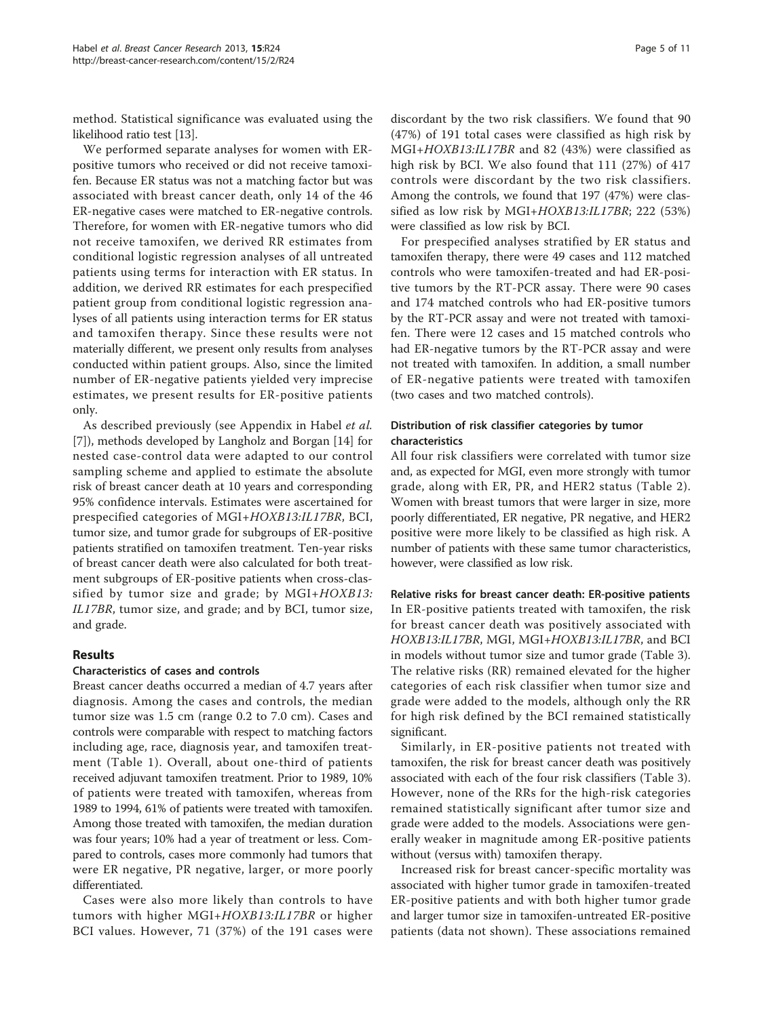method. Statistical significance was evaluated using the likelihood ratio test [\[13](#page-9-0)].

We performed separate analyses for women with ERpositive tumors who received or did not receive tamoxifen. Because ER status was not a matching factor but was associated with breast cancer death, only 14 of the 46 ER-negative cases were matched to ER-negative controls. Therefore, for women with ER-negative tumors who did not receive tamoxifen, we derived RR estimates from conditional logistic regression analyses of all untreated patients using terms for interaction with ER status. In addition, we derived RR estimates for each prespecified patient group from conditional logistic regression analyses of all patients using interaction terms for ER status and tamoxifen therapy. Since these results were not materially different, we present only results from analyses conducted within patient groups. Also, since the limited number of ER-negative patients yielded very imprecise estimates, we present results for ER-positive patients only.

As described previously (see Appendix in Habel et al. [[7\]](#page-9-0)), methods developed by Langholz and Borgan [\[14\]](#page-9-0) for nested case-control data were adapted to our control sampling scheme and applied to estimate the absolute risk of breast cancer death at 10 years and corresponding 95% confidence intervals. Estimates were ascertained for prespecified categories of MGI+HOXB13:IL17BR, BCI, tumor size, and tumor grade for subgroups of ER-positive patients stratified on tamoxifen treatment. Ten-year risks of breast cancer death were also calculated for both treatment subgroups of ER-positive patients when cross-classified by tumor size and grade; by MGI+HOXB13: IL17BR, tumor size, and grade; and by BCI, tumor size, and grade.

#### Results

#### Characteristics of cases and controls

Breast cancer deaths occurred a median of 4.7 years after diagnosis. Among the cases and controls, the median tumor size was 1.5 cm (range 0.2 to 7.0 cm). Cases and controls were comparable with respect to matching factors including age, race, diagnosis year, and tamoxifen treatment (Table [1\)](#page-2-0). Overall, about one-third of patients received adjuvant tamoxifen treatment. Prior to 1989, 10% of patients were treated with tamoxifen, whereas from 1989 to 1994, 61% of patients were treated with tamoxifen. Among those treated with tamoxifen, the median duration was four years; 10% had a year of treatment or less. Compared to controls, cases more commonly had tumors that were ER negative, PR negative, larger, or more poorly differentiated.

Cases were also more likely than controls to have tumors with higher MGI+HOXB13:IL17BR or higher BCI values. However, 71 (37%) of the 191 cases were

discordant by the two risk classifiers. We found that 90 (47%) of 191 total cases were classified as high risk by MGI+HOXB13:IL17BR and 82 (43%) were classified as high risk by BCI. We also found that 111 (27%) of 417 controls were discordant by the two risk classifiers. Among the controls, we found that 197 (47%) were classified as low risk by MGI+HOXB13:IL17BR; 222 (53%) were classified as low risk by BCI.

For prespecified analyses stratified by ER status and tamoxifen therapy, there were 49 cases and 112 matched controls who were tamoxifen-treated and had ER-positive tumors by the RT-PCR assay. There were 90 cases and 174 matched controls who had ER-positive tumors by the RT-PCR assay and were not treated with tamoxifen. There were 12 cases and 15 matched controls who had ER-negative tumors by the RT-PCR assay and were not treated with tamoxifen. In addition, a small number of ER-negative patients were treated with tamoxifen (two cases and two matched controls).

#### Distribution of risk classifier categories by tumor characteristics

All four risk classifiers were correlated with tumor size and, as expected for MGI, even more strongly with tumor grade, along with ER, PR, and HER2 status (Table [2\)](#page-5-0). Women with breast tumors that were larger in size, more poorly differentiated, ER negative, PR negative, and HER2 positive were more likely to be classified as high risk. A number of patients with these same tumor characteristics, however, were classified as low risk.

Relative risks for breast cancer death: ER-positive patients In ER-positive patients treated with tamoxifen, the risk for breast cancer death was positively associated with HOXB13:IL17BR, MGI, MGI+HOXB13:IL17BR, and BCI in models without tumor size and tumor grade (Table [3](#page-6-0)). The relative risks (RR) remained elevated for the higher categories of each risk classifier when tumor size and grade were added to the models, although only the RR for high risk defined by the BCI remained statistically significant.

Similarly, in ER-positive patients not treated with tamoxifen, the risk for breast cancer death was positively associated with each of the four risk classifiers (Table [3](#page-6-0)). However, none of the RRs for the high-risk categories remained statistically significant after tumor size and grade were added to the models. Associations were generally weaker in magnitude among ER-positive patients without (versus with) tamoxifen therapy.

Increased risk for breast cancer-specific mortality was associated with higher tumor grade in tamoxifen-treated ER-positive patients and with both higher tumor grade and larger tumor size in tamoxifen-untreated ER-positive patients (data not shown). These associations remained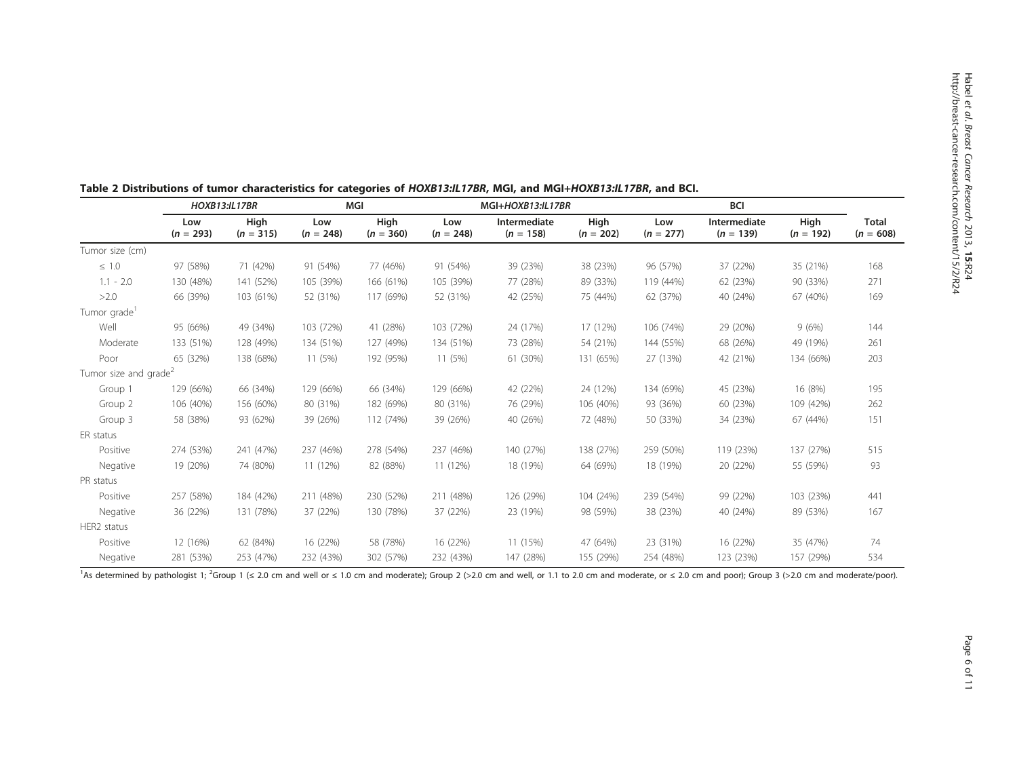|                                   | <b>HOXB13:IL17BR</b> |                     | MGI                |                     | MGI+HOXB13:IL17BR  |                             |                     | <b>BCI</b>         |                             |                     |                             |
|-----------------------------------|----------------------|---------------------|--------------------|---------------------|--------------------|-----------------------------|---------------------|--------------------|-----------------------------|---------------------|-----------------------------|
|                                   | Low<br>$(n = 293)$   | High<br>$(n = 315)$ | Low<br>$(n = 248)$ | High<br>$(n = 360)$ | Low<br>$(n = 248)$ | Intermediate<br>$(n = 158)$ | High<br>$(n = 202)$ | Low<br>$(n = 277)$ | Intermediate<br>$(n = 139)$ | High<br>$(n = 192)$ | <b>Total</b><br>$(n = 608)$ |
| Tumor size (cm)                   |                      |                     |                    |                     |                    |                             |                     |                    |                             |                     |                             |
| $\leq 1.0$                        | 97 (58%)             | 71 (42%)            | 91 (54%)           | 77 (46%)            | 91 (54%)           | 39 (23%)                    | 38 (23%)            | 96 (57%)           | 37 (22%)                    | 35 (21%)            | 168                         |
| $1.1 - 2.0$                       | 130 (48%)            | 141 (52%)           | 105 (39%)          | 166 (61%)           | 105 (39%)          | 77 (28%)                    | 89 (33%)            | 119 (44%)          | 62 (23%)                    | 90 (33%)            | 271                         |
| >2.0                              | 66 (39%)             | 103 (61%)           | 52 (31%)           | 117 (69%)           | 52 (31%)           | 42 (25%)                    | 75 (44%)            | 62 (37%)           | 40 (24%)                    | 67 (40%)            | 169                         |
| Tumor grade <sup>1</sup>          |                      |                     |                    |                     |                    |                             |                     |                    |                             |                     |                             |
| Well                              | 95 (66%)             | 49 (34%)            | 103 (72%)          | 41 (28%)            | 103 (72%)          | 24 (17%)                    | 17 (12%)            | 106 (74%)          | 29 (20%)                    | 9(6%)               | 144                         |
| Moderate                          | 133 (51%)            | 128 (49%)           | 134 (51%)          | 127 (49%)           | 134 (51%)          | 73 (28%)                    | 54 (21%)            | 144 (55%)          | 68 (26%)                    | 49 (19%)            | 261                         |
| Poor                              | 65 (32%)             | 138 (68%)           | 11 (5%)            | 192 (95%)           | 11(5%)             | 61 (30%)                    | 131 (65%)           | 27 (13%)           | 42 (21%)                    | 134 (66%)           | 203                         |
| Tumor size and grade <sup>2</sup> |                      |                     |                    |                     |                    |                             |                     |                    |                             |                     |                             |
| Group 1                           | 129 (66%)            | 66 (34%)            | 129 (66%)          | 66 (34%)            | 129 (66%)          | 42 (22%)                    | 24 (12%)            | 134 (69%)          | 45 (23%)                    | 16 (8%)             | 195                         |
| Group 2                           | 106 (40%)            | 156 (60%)           | 80 (31%)           | 182 (69%)           | 80 (31%)           | 76 (29%)                    | 106 (40%)           | 93 (36%)           | 60 (23%)                    | 109 (42%)           | 262                         |
| Group 3                           | 58 (38%)             | 93 (62%)            | 39 (26%)           | 112 (74%)           | 39 (26%)           | 40 (26%)                    | 72 (48%)            | 50 (33%)           | 34 (23%)                    | 67 (44%)            | 151                         |
| ER status                         |                      |                     |                    |                     |                    |                             |                     |                    |                             |                     |                             |
| Positive                          | 274 (53%)            | 241 (47%)           | 237 (46%)          | 278 (54%)           | 237 (46%)          | 140 (27%)                   | 138 (27%)           | 259 (50%)          | 119 (23%)                   | 137 (27%)           | 515                         |
| Negative                          | 19 (20%)             | 74 (80%)            | 11 (12%)           | 82 (88%)            | 11 (12%)           | 18 (19%)                    | 64 (69%)            | 18 (19%)           | 20 (22%)                    | 55 (59%)            | 93                          |
| PR status                         |                      |                     |                    |                     |                    |                             |                     |                    |                             |                     |                             |
| Positive                          | 257 (58%)            | 184 (42%)           | 211 (48%)          | 230 (52%)           | 211 (48%)          | 126 (29%)                   | 104 (24%)           | 239 (54%)          | 99 (22%)                    | 103 (23%)           | 441                         |
| Negative                          | 36 (22%)             | 131 (78%)           | 37 (22%)           | 130 (78%)           | 37 (22%)           | 23 (19%)                    | 98 (59%)            | 38 (23%)           | 40 (24%)                    | 89 (53%)            | 167                         |
| HER2 status                       |                      |                     |                    |                     |                    |                             |                     |                    |                             |                     |                             |
| Positive                          | 12 (16%)             | 62 (84%)            | 16 (22%)           | 58 (78%)            | 16 (22%)           | 11 (15%)                    | 47 (64%)            | 23 (31%)           | 16 (22%)                    | 35 (47%)            | 74                          |
| Negative                          | 281 (53%)            | 253 (47%)           | 232 (43%)          | 302 (57%)           | 232 (43%)          | 147 (28%)                   | 155 (29%)           | 254 (48%)          | 123 (23%)                   | 157 (29%)           | 534                         |

#### <span id="page-5-0"></span>Table 2 Distributions of tumor characteristics for categories of HOXB13:IL17BR, MGI, and MGI+HOXB13:IL17BR, and BCI.

<sup>1</sup>As determined by pathologist 1; <sup>2</sup>Group 1 (≤ 2.0 cm and well or ≤ 1.0 cm and moderate); Group 2 (>2.0 cm and well, or 1.1 to 2.0 cm and moderate, or ≤ 2.0 cm and poor); Group 3 (>2.0 cm and moderate/poor).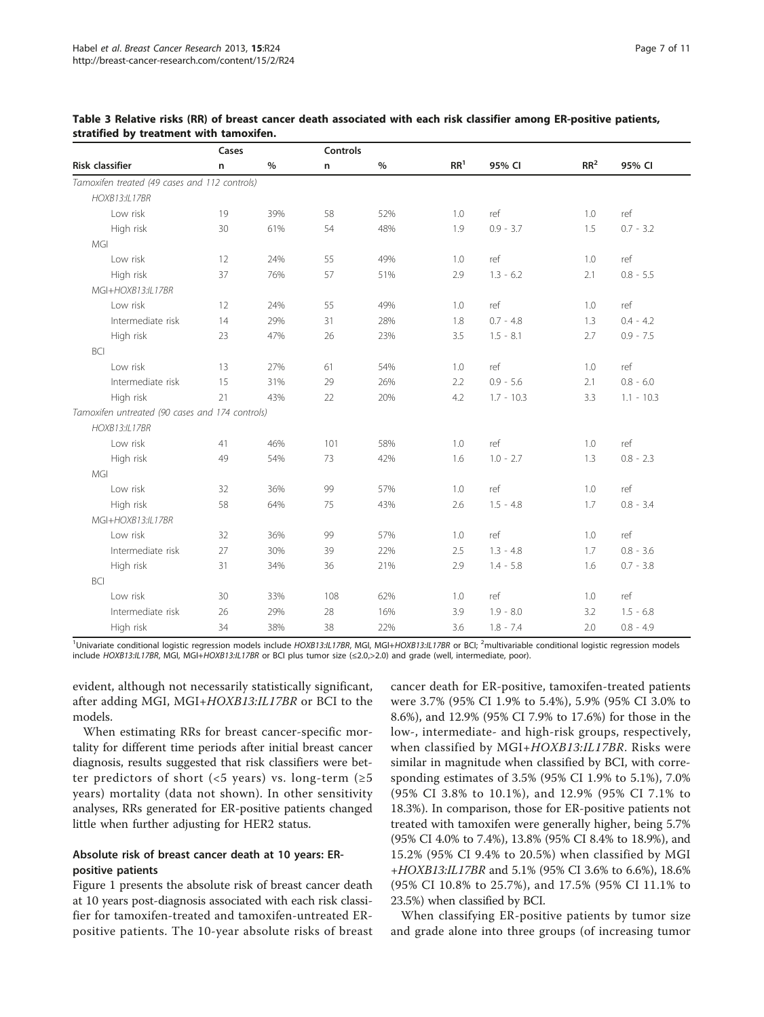|                                                 | Cases |               |     | <b>Controls</b> |                 |              |                 |              |
|-------------------------------------------------|-------|---------------|-----|-----------------|-----------------|--------------|-----------------|--------------|
| <b>Risk classifier</b>                          | n     | $\frac{0}{0}$ | n   | $\%$            | RR <sup>1</sup> | 95% CI       | RR <sup>2</sup> | 95% CI       |
| Tamoxifen treated (49 cases and 112 controls)   |       |               |     |                 |                 |              |                 |              |
| <b>HOXB13:IL17BR</b>                            |       |               |     |                 |                 |              |                 |              |
| Low risk                                        | 19    | 39%           | 58  | 52%             | 1.0             | ref          | 1.0             | ref          |
| High risk                                       | 30    | 61%           | 54  | 48%             | 1.9             | $0.9 - 3.7$  | 1.5             | $0.7 - 3.2$  |
| MGI                                             |       |               |     |                 |                 |              |                 |              |
| Low risk                                        | 12    | 24%           | 55  | 49%             | 1.0             | ref          | 1.0             | ref          |
| High risk                                       | 37    | 76%           | 57  | 51%             | 2.9             | $1.3 - 6.2$  | 2.1             | $0.8 - 5.5$  |
| MGI+HOXB13:IL17BR                               |       |               |     |                 |                 |              |                 |              |
| Low risk                                        | 12    | 24%           | 55  | 49%             | 1.0             | ref          | 1.0             | ref          |
| Intermediate risk                               | 14    | 29%           | 31  | 28%             | 1.8             | $0.7 - 4.8$  | 1.3             | $0.4 - 4.2$  |
| High risk                                       | 23    | 47%           | 26  | 23%             | 3.5             | $1.5 - 8.1$  | 2.7             | $0.9 - 7.5$  |
| BCI                                             |       |               |     |                 |                 |              |                 |              |
| Low risk                                        | 13    | 27%           | 61  | 54%             | 1.0             | ref          | 1.0             | ref          |
| Intermediate risk                               | 15    | 31%           | 29  | 26%             | 2.2             | $0.9 - 5.6$  | 2.1             | $0.8 - 6.0$  |
| High risk                                       | 21    | 43%           | 22  | 20%             | 4.2             | $1.7 - 10.3$ | 3.3             | $1.1 - 10.3$ |
| Tamoxifen untreated (90 cases and 174 controls) |       |               |     |                 |                 |              |                 |              |
| <b>HOXB13:IL17BR</b>                            |       |               |     |                 |                 |              |                 |              |
| Low risk                                        | 41    | 46%           | 101 | 58%             | 1.0             | ref          | 1.0             | ref          |
| High risk                                       | 49    | 54%           | 73  | 42%             | 1.6             | $1.0 - 2.7$  | 1.3             | $0.8 - 2.3$  |
| MGI                                             |       |               |     |                 |                 |              |                 |              |
| Low risk                                        | 32    | 36%           | 99  | 57%             | 1.0             | ref          | 1.0             | ref          |
| High risk                                       | 58    | 64%           | 75  | 43%             | 2.6             | $1.5 - 4.8$  | 1.7             | $0.8 - 3.4$  |
| MGI+HOXB13:IL17BR                               |       |               |     |                 |                 |              |                 |              |
| Low risk                                        | 32    | 36%           | 99  | 57%             | 1.0             | ref          | 1.0             | ref          |
| Intermediate risk                               | 27    | 30%           | 39  | 22%             | 2.5             | $1.3 - 4.8$  | 1.7             | $0.8 - 3.6$  |
| High risk                                       | 31    | 34%           | 36  | 21%             | 2.9             | $1.4 - 5.8$  | 1.6             | $0.7 - 3.8$  |
| <b>BCI</b>                                      |       |               |     |                 |                 |              |                 |              |
| Low risk                                        | 30    | 33%           | 108 | 62%             | 1.0             | ref          | 1.0             | ref          |
| Intermediate risk                               | 26    | 29%           | 28  | 16%             | 3.9             | $1.9 - 8.0$  | 3.2             | $1.5 - 6.8$  |
| High risk                                       | 34    | 38%           | 38  | 22%             | 3.6             | $1.8 - 7.4$  | 2.0             | $0.8 - 4.9$  |

<span id="page-6-0"></span>Table 3 Relative risks (RR) of breast cancer death associated with each risk classifier among ER-positive patients, stratified by treatment with tamoxifen.

<sup>1</sup>Univariate conditional logistic regression models include HOXB13:IL17BR, MGI, MGI+HOXB13:IL17BR or BCI; <sup>2</sup>multivariable conditional logistic regression models include HOXB13:IL17BR, MGI, MGI+HOXB13:IL17BR or BCI plus tumor size (≤2.0,>2.0) and grade (well, intermediate, poor).

evident, although not necessarily statistically significant, after adding MGI, MGI+HOXB13:IL17BR or BCI to the models.

When estimating RRs for breast cancer-specific mortality for different time periods after initial breast cancer diagnosis, results suggested that risk classifiers were better predictors of short (<5 years) vs. long-term ( $\geq$ 5 years) mortality (data not shown). In other sensitivity analyses, RRs generated for ER-positive patients changed little when further adjusting for HER2 status.

# Absolute risk of breast cancer death at 10 years: ERpositive patients

Figure [1](#page-7-0) presents the absolute risk of breast cancer death at 10 years post-diagnosis associated with each risk classifier for tamoxifen-treated and tamoxifen-untreated ERpositive patients. The 10-year absolute risks of breast

cancer death for ER-positive, tamoxifen-treated patients were 3.7% (95% CI 1.9% to 5.4%), 5.9% (95% CI 3.0% to 8.6%), and 12.9% (95% CI 7.9% to 17.6%) for those in the low-, intermediate- and high-risk groups, respectively, when classified by MGI+HOXB13:IL17BR. Risks were similar in magnitude when classified by BCI, with corresponding estimates of 3.5% (95% CI 1.9% to 5.1%), 7.0% (95% CI 3.8% to 10.1%), and 12.9% (95% CI 7.1% to 18.3%). In comparison, those for ER-positive patients not treated with tamoxifen were generally higher, being 5.7% (95% CI 4.0% to 7.4%), 13.8% (95% CI 8.4% to 18.9%), and 15.2% (95% CI 9.4% to 20.5%) when classified by MGI <sup>+</sup>HOXB13:IL17BR and 5.1% (95% CI 3.6% to 6.6%), 18.6% (95% CI 10.8% to 25.7%), and 17.5% (95% CI 11.1% to 23.5%) when classified by BCI.

When classifying ER-positive patients by tumor size and grade alone into three groups (of increasing tumor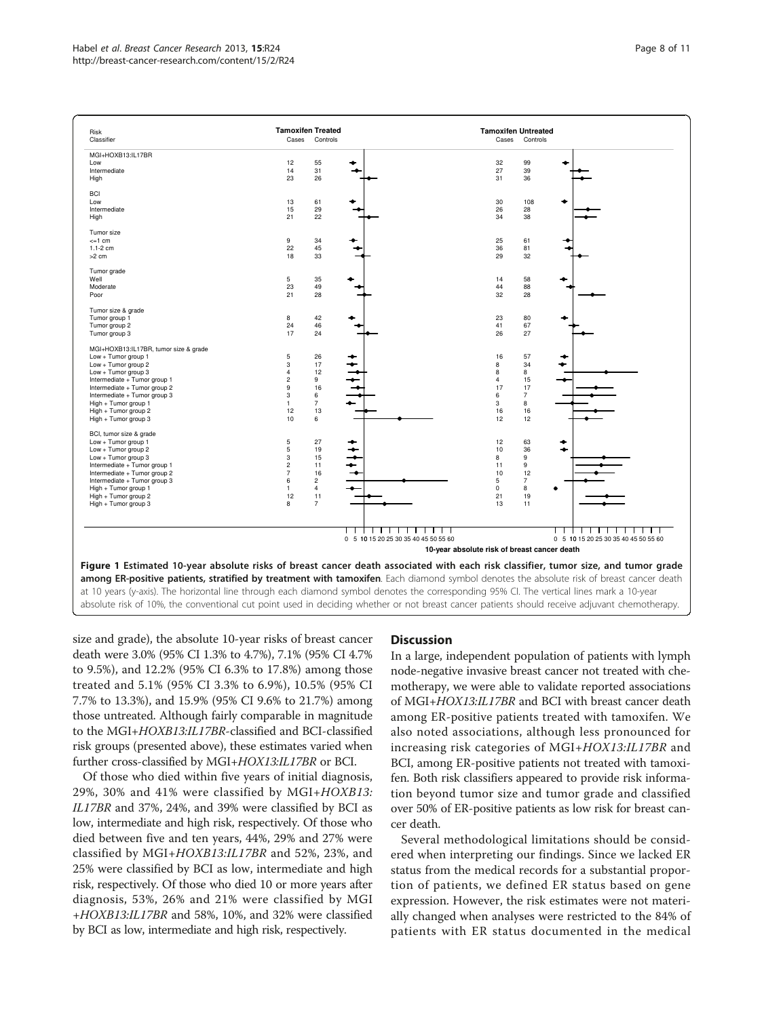<span id="page-7-0"></span>

| Risk                                  | <b>Tamoxifen Treated</b> |                |                                              | <b>Tamoxifen Untreated</b> |                |                                      |
|---------------------------------------|--------------------------|----------------|----------------------------------------------|----------------------------|----------------|--------------------------------------|
| Classifier                            | Cases                    | Controls       |                                              | Cases                      | Controls       |                                      |
| MGI+HOXB13:IL17BR                     |                          |                |                                              |                            |                |                                      |
| Low                                   | 12                       | 55             |                                              | 32                         | 99             |                                      |
| Intermediate                          | 14                       | 31             |                                              | 27                         | 39             |                                      |
| High                                  | 23                       | 26             |                                              | 31                         | 36             |                                      |
|                                       |                          |                |                                              |                            |                |                                      |
| <b>BCI</b>                            |                          |                |                                              |                            |                |                                      |
| Low                                   | 13                       | 61             |                                              | 30                         | 108            |                                      |
| Intermediate                          | 15                       | 29             |                                              | 26                         | 28             |                                      |
| High                                  | 21                       | 22             |                                              | 34                         | 38             |                                      |
| Tumor size                            |                          |                |                                              |                            |                |                                      |
| $\leq 1$ cm                           | $\mathsf g$              | 34             |                                              | 25                         | 61             |                                      |
| $1.1 - 2$ cm                          | 22                       | 45             |                                              | 36                         | 81             |                                      |
| >2 cm                                 | 18                       | 33             |                                              | 29                         | 32             |                                      |
|                                       |                          |                |                                              |                            |                |                                      |
| Tumor grade                           |                          |                |                                              |                            |                |                                      |
| Well                                  | $\,$ 5 $\,$              | 35             |                                              | 14                         | 58             |                                      |
| Moderate                              | 23                       | 49             |                                              | 44                         | 88             |                                      |
| Poor                                  | 21                       | 28             |                                              | 32                         | 28             |                                      |
| Tumor size & grade                    |                          |                |                                              |                            |                |                                      |
| Tumor group 1                         | 8                        | 42             |                                              | 23                         | 80             |                                      |
| Tumor group 2                         | 24                       | 46             |                                              | 41                         | 67             |                                      |
| Tumor group 3                         | 17                       | 24             |                                              | 26                         | 27             |                                      |
|                                       |                          |                |                                              |                            |                |                                      |
| MGI+HOXB13:IL17BR, tumor size & grade |                          |                |                                              |                            |                |                                      |
| Low + Tumor group 1                   | $\overline{5}$           | 26             |                                              | 16                         | 57             |                                      |
| Low + Tumor group 2                   | 3                        | 17             |                                              | 8                          | 34             |                                      |
| Low + Tumor group $3$                 | $\overline{4}$           | 12             |                                              | 8                          | 8              |                                      |
| Intermediate + Tumor group 1          | $\overline{c}$           | 9              |                                              | 4                          | 15             |                                      |
| Intermediate + Tumor group 2          | 9                        | 16             |                                              | 17                         | 17             |                                      |
| Intermediate + Tumor group 3          | 3                        | 6              |                                              | 6                          | $\overline{7}$ |                                      |
| High + Tumor group 1                  | $\mathbf{1}$             | $\overline{7}$ |                                              | 3                          | 8              |                                      |
| High + Tumor group 2                  | 12                       | 13             |                                              | 16                         | 16             |                                      |
| High + Tumor group 3                  | 10                       | 6              |                                              | 12                         | 12             |                                      |
| BCI, tumor size & grade               |                          |                |                                              |                            |                |                                      |
| Low + Tumor group 1                   | $\mathbf 5$              | 27             |                                              | 12                         | 63             |                                      |
| $Low + Tumor group 2$                 | 5                        | 19             |                                              | 10                         | 36             |                                      |
| Low + Tumor group $3$                 | $\overline{3}$           | 15             |                                              | 8                          | 9              |                                      |
| Intermediate + Tumor group 1          | $\overline{c}$           | 11             |                                              | 11                         | 9              |                                      |
| Intermediate + Tumor group 2          | $\overline{7}$           | 16             |                                              | 10                         | 12             |                                      |
| Intermediate + Tumor group 3          | 6                        | $\overline{c}$ |                                              | 5                          | $\overline{7}$ |                                      |
| High + Tumor group 1                  | $\mathbf{1}$             | $\overline{4}$ |                                              | $\mathbf 0$                | 8              | ٠                                    |
| High + Tumor group 2                  | 12                       | 11             |                                              | 21                         | 19             |                                      |
| High + Tumor group 3                  | 8                        | $\overline{7}$ |                                              | 13                         | 11             |                                      |
|                                       |                          |                |                                              |                            |                |                                      |
|                                       |                          |                |                                              |                            |                |                                      |
|                                       |                          |                | $\mathbf{I}$<br>$\mathbf{1}$<br>$\mathbf{I}$ |                            |                |                                      |
|                                       |                          |                | 0 5 10 15 20 25 30 35 40 45 50 55 60         |                            |                | 0 5 10 15 20 25 30 35 40 45 50 55 60 |
|                                       |                          |                | 10-year absolute risk of breast cancer death |                            |                |                                      |

Figure 1 Estimated 10-year absolute risks of breast cancer death associated with each risk classifier, tumor size, and tumor grade among ER-positive patients, stratified by treatment with tamoxifen. Each diamond symbol denotes the absolute risk of breast cancer death at 10 years (y-axis). The horizontal line through each diamond symbol denotes the corresponding 95% CI. The vertical lines mark a 10-year absolute risk of 10%, the conventional cut point used in deciding whether or not breast cancer patients should receive adjuvant chemotherapy.

size and grade), the absolute 10-year risks of breast cancer death were 3.0% (95% CI 1.3% to 4.7%), 7.1% (95% CI 4.7% to 9.5%), and 12.2% (95% CI 6.3% to 17.8%) among those treated and 5.1% (95% CI 3.3% to 6.9%), 10.5% (95% CI 7.7% to 13.3%), and 15.9% (95% CI 9.6% to 21.7%) among those untreated. Although fairly comparable in magnitude to the MGI+HOXB13:IL17BR-classified and BCI-classified risk groups (presented above), these estimates varied when further cross-classified by MGI+HOX13:IL17BR or BCI.

Of those who died within five years of initial diagnosis, 29%, 30% and 41% were classified by MGI+HOXB13: IL17BR and 37%, 24%, and 39% were classified by BCI as low, intermediate and high risk, respectively. Of those who died between five and ten years, 44%, 29% and 27% were classified by MGI+HOXB13:IL17BR and 52%, 23%, and 25% were classified by BCI as low, intermediate and high risk, respectively. Of those who died 10 or more years after diagnosis, 53%, 26% and 21% were classified by MGI <sup>+</sup>HOXB13:IL17BR and 58%, 10%, and 32% were classified by BCI as low, intermediate and high risk, respectively.

## **Discussion**

In a large, independent population of patients with lymph node-negative invasive breast cancer not treated with chemotherapy, we were able to validate reported associations of MGI+HOX13:IL17BR and BCI with breast cancer death among ER-positive patients treated with tamoxifen. We also noted associations, although less pronounced for increasing risk categories of MGI+HOX13:IL17BR and BCI, among ER-positive patients not treated with tamoxifen. Both risk classifiers appeared to provide risk information beyond tumor size and tumor grade and classified over 50% of ER-positive patients as low risk for breast cancer death.

Several methodological limitations should be considered when interpreting our findings. Since we lacked ER status from the medical records for a substantial proportion of patients, we defined ER status based on gene expression. However, the risk estimates were not materially changed when analyses were restricted to the 84% of patients with ER status documented in the medical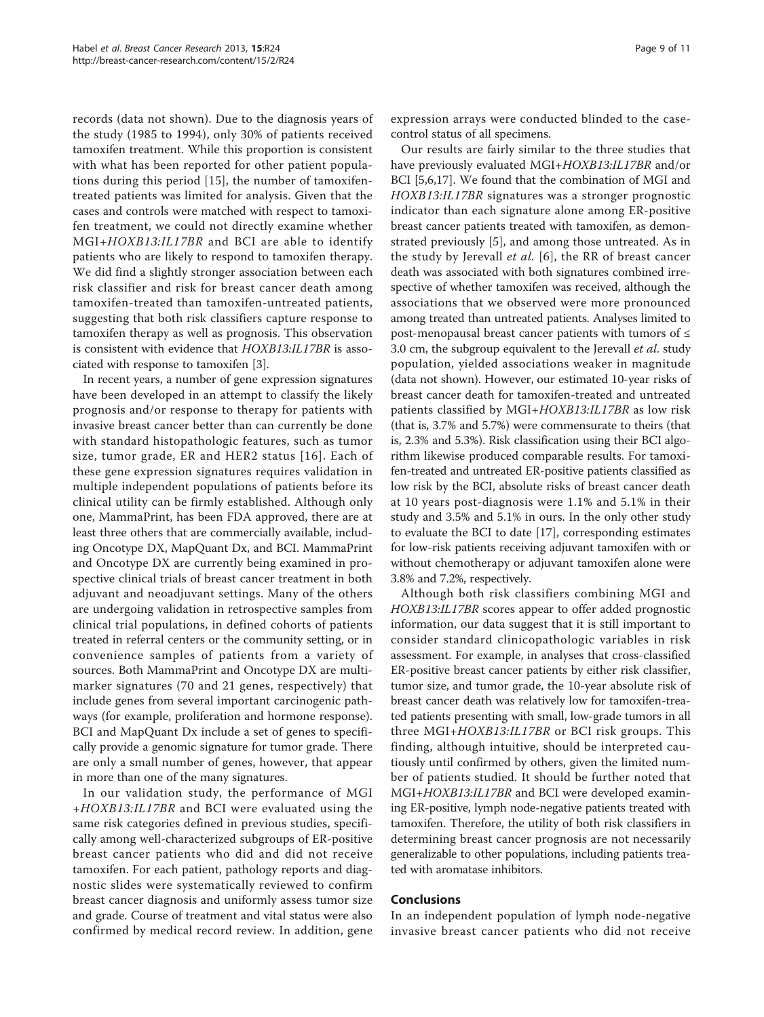records (data not shown). Due to the diagnosis years of the study (1985 to 1994), only 30% of patients received tamoxifen treatment. While this proportion is consistent with what has been reported for other patient populations during this period [[15\]](#page-9-0), the number of tamoxifentreated patients was limited for analysis. Given that the cases and controls were matched with respect to tamoxifen treatment, we could not directly examine whether MGI+HOXB13:IL17BR and BCI are able to identify patients who are likely to respond to tamoxifen therapy. We did find a slightly stronger association between each risk classifier and risk for breast cancer death among tamoxifen-treated than tamoxifen-untreated patients, suggesting that both risk classifiers capture response to tamoxifen therapy as well as prognosis. This observation is consistent with evidence that HOXB13:IL17BR is associated with response to tamoxifen [[3\]](#page-9-0).

In recent years, a number of gene expression signatures have been developed in an attempt to classify the likely prognosis and/or response to therapy for patients with invasive breast cancer better than can currently be done with standard histopathologic features, such as tumor size, tumor grade, ER and HER2 status [[16](#page-10-0)]. Each of these gene expression signatures requires validation in multiple independent populations of patients before its clinical utility can be firmly established. Although only one, MammaPrint, has been FDA approved, there are at least three others that are commercially available, including Oncotype DX, MapQuant Dx, and BCI. MammaPrint and Oncotype DX are currently being examined in prospective clinical trials of breast cancer treatment in both adjuvant and neoadjuvant settings. Many of the others are undergoing validation in retrospective samples from clinical trial populations, in defined cohorts of patients treated in referral centers or the community setting, or in convenience samples of patients from a variety of sources. Both MammaPrint and Oncotype DX are multimarker signatures (70 and 21 genes, respectively) that include genes from several important carcinogenic pathways (for example, proliferation and hormone response). BCI and MapQuant Dx include a set of genes to specifically provide a genomic signature for tumor grade. There are only a small number of genes, however, that appear in more than one of the many signatures.

In our validation study, the performance of MGI <sup>+</sup>HOXB13:IL17BR and BCI were evaluated using the same risk categories defined in previous studies, specifically among well-characterized subgroups of ER-positive breast cancer patients who did and did not receive tamoxifen. For each patient, pathology reports and diagnostic slides were systematically reviewed to confirm breast cancer diagnosis and uniformly assess tumor size and grade. Course of treatment and vital status were also confirmed by medical record review. In addition, gene

expression arrays were conducted blinded to the casecontrol status of all specimens.

Our results are fairly similar to the three studies that have previously evaluated MGI+HOXB13:IL17BR and/or BCI [\[5,6](#page-9-0)[,17](#page-10-0)]. We found that the combination of MGI and HOXB13:IL17BR signatures was a stronger prognostic indicator than each signature alone among ER-positive breast cancer patients treated with tamoxifen, as demonstrated previously [\[5](#page-9-0)], and among those untreated. As in the study by Jerevall et al. [[6\]](#page-9-0), the RR of breast cancer death was associated with both signatures combined irrespective of whether tamoxifen was received, although the associations that we observed were more pronounced among treated than untreated patients. Analyses limited to post-menopausal breast cancer patients with tumors of ≤ 3.0 cm, the subgroup equivalent to the Jerevall *et al.* study population, yielded associations weaker in magnitude (data not shown). However, our estimated 10-year risks of breast cancer death for tamoxifen-treated and untreated patients classified by MGI+HOXB13:IL17BR as low risk (that is, 3.7% and 5.7%) were commensurate to theirs (that is, 2.3% and 5.3%). Risk classification using their BCI algorithm likewise produced comparable results. For tamoxifen-treated and untreated ER-positive patients classified as low risk by the BCI, absolute risks of breast cancer death at 10 years post-diagnosis were 1.1% and 5.1% in their study and 3.5% and 5.1% in ours. In the only other study to evaluate the BCI to date [[17\]](#page-10-0), corresponding estimates for low-risk patients receiving adjuvant tamoxifen with or without chemotherapy or adjuvant tamoxifen alone were 3.8% and 7.2%, respectively.

Although both risk classifiers combining MGI and HOXB13:IL17BR scores appear to offer added prognostic information, our data suggest that it is still important to consider standard clinicopathologic variables in risk assessment. For example, in analyses that cross-classified ER-positive breast cancer patients by either risk classifier, tumor size, and tumor grade, the 10-year absolute risk of breast cancer death was relatively low for tamoxifen-treated patients presenting with small, low-grade tumors in all three MGI+HOXB13:IL17BR or BCI risk groups. This finding, although intuitive, should be interpreted cautiously until confirmed by others, given the limited number of patients studied. It should be further noted that MGI+HOXB13:IL17BR and BCI were developed examining ER-positive, lymph node-negative patients treated with tamoxifen. Therefore, the utility of both risk classifiers in determining breast cancer prognosis are not necessarily generalizable to other populations, including patients treated with aromatase inhibitors.

#### Conclusions

In an independent population of lymph node-negative invasive breast cancer patients who did not receive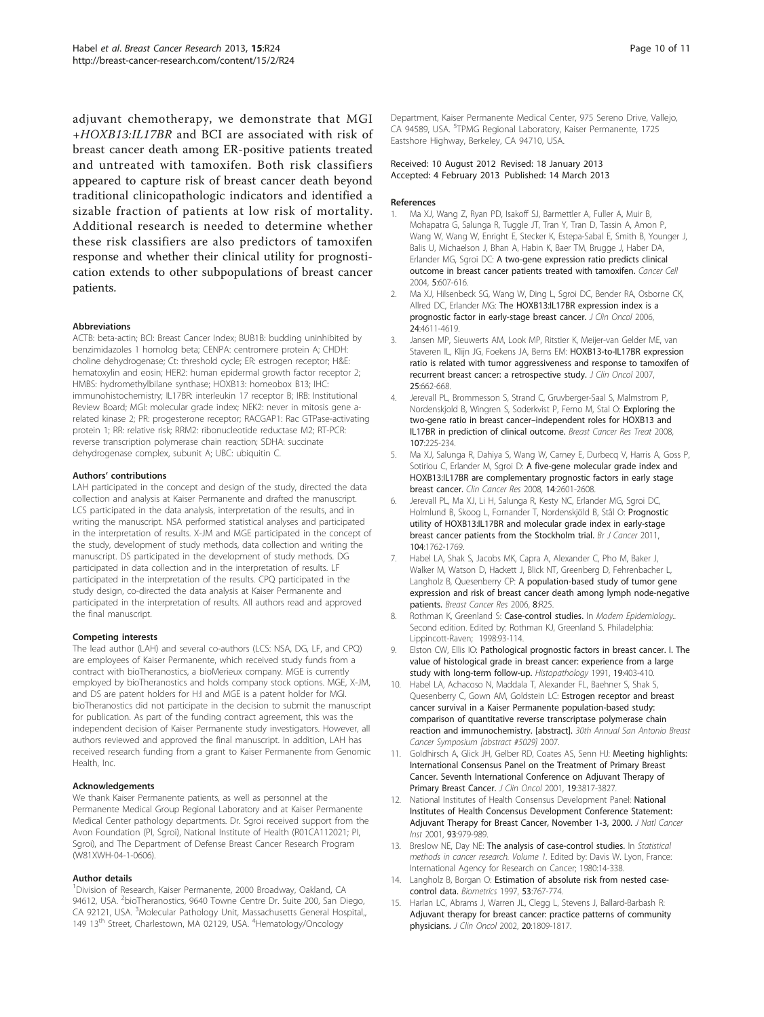<span id="page-9-0"></span>adjuvant chemotherapy, we demonstrate that MGI <sup>+</sup>HOXB13:IL17BR and BCI are associated with risk of breast cancer death among ER-positive patients treated and untreated with tamoxifen. Both risk classifiers appeared to capture risk of breast cancer death beyond traditional clinicopathologic indicators and identified a sizable fraction of patients at low risk of mortality. Additional research is needed to determine whether these risk classifiers are also predictors of tamoxifen response and whether their clinical utility for prognostication extends to other subpopulations of breast cancer patients.

#### Abbreviations

ACTB: beta-actin; BCI: Breast Cancer Index; BUB1B: budding uninhibited by benzimidazoles 1 homolog beta; CENPA: centromere protein A; CHDH: choline dehydrogenase; Ct: threshold cycle; ER: estrogen receptor; H&E: hematoxylin and eosin; HER2: human epidermal growth factor receptor 2; HMBS: hydromethylbilane synthase; HOXB13: homeobox B13; IHC: immunohistochemistry; IL17BR: interleukin 17 receptor B; IRB: Institutional Review Board; MGI: molecular grade index; NEK2: never in mitosis gene arelated kinase 2; PR: progesterone receptor; RACGAP1: Rac GTPase-activating protein 1; RR: relative risk; RRM2: ribonucleotide reductase M2; RT-PCR: reverse transcription polymerase chain reaction; SDHA: succinate dehydrogenase complex, subunit A; UBC: ubiquitin C.

#### Authors' contributions

LAH participated in the concept and design of the study, directed the data collection and analysis at Kaiser Permanente and drafted the manuscript. LCS participated in the data analysis, interpretation of the results, and in writing the manuscript. NSA performed statistical analyses and participated in the interpretation of results. X-JM and MGE participated in the concept of the study, development of study methods, data collection and writing the manuscript. DS participated in the development of study methods. DG participated in data collection and in the interpretation of results. LF participated in the interpretation of the results. CPQ participated in the study design, co-directed the data analysis at Kaiser Permanente and participated in the interpretation of results. All authors read and approved the final manuscript.

#### Competing interests

The lead author (LAH) and several co-authors (LCS: NSA, DG, LF, and CPQ) are employees of Kaiser Permanente, which received study funds from a contract with bioTheranostics, a bioMerieux company. MGE is currently employed by bioTheranostics and holds company stock options. MGE, X-JM, and DS are patent holders for H:I and MGE is a patent holder for MGI. bioTheranostics did not participate in the decision to submit the manuscript for publication. As part of the funding contract agreement, this was the independent decision of Kaiser Permanente study investigators. However, all authors reviewed and approved the final manuscript. In addition, LAH has received research funding from a grant to Kaiser Permanente from Genomic Health, Inc.

#### Acknowledgements

We thank Kaiser Permanente patients, as well as personnel at the Permanente Medical Group Regional Laboratory and at Kaiser Permanente Medical Center pathology departments. Dr. Sgroi received support from the Avon Foundation (PI, Sgroi), National Institute of Health (R01CA112021; PI, Sgroi), and The Department of Defense Breast Cancer Research Program (W81XWH-04-1-0606).

#### Author details

<sup>1</sup> Division of Research, Kaiser Permanente, 2000 Broadway, Oakland, CA 94612, USA. <sup>2</sup>bioTheranostics, 9640 Towne Centre Dr. Suite 200, San Diego, CA 92121, USA. <sup>3</sup>Molecular Pathology Unit, Massachusetts General Hospital, 149 13<sup>th</sup> Street, Charlestown, MA 02129, USA. <sup>4</sup>Hematology/Oncology

Department, Kaiser Permanente Medical Center, 975 Sereno Drive, Vallejo, CA 94589, USA. <sup>5</sup>TPMG Regional Laboratory, Kaiser Permanente, 1725 Eastshore Highway, Berkeley, CA 94710, USA.

#### Received: 10 August 2012 Revised: 18 January 2013 Accepted: 4 February 2013 Published: 14 March 2013

#### References

- 1. Ma XJ, Wang Z, Ryan PD, Isakoff SJ, Barmettler A, Fuller A, Muir B, Mohapatra G, Salunga R, Tuggle JT, Tran Y, Tran D, Tassin A, Amon P, Wang W, Wang W, Enright E, Stecker K, Estepa-Sabal E, Smith B, Younger J, Balis U, Michaelson J, Bhan A, Habin K, Baer TM, Brugge J, Haber DA, Erlander MG, Sgroi DC: [A two-gene expression ratio predicts clinical](http://www.ncbi.nlm.nih.gov/pubmed/15193263?dopt=Abstract) [outcome in breast cancer patients treated with tamoxifen.](http://www.ncbi.nlm.nih.gov/pubmed/15193263?dopt=Abstract) Cancer Cell 2004, 5:607-616.
- 2. Ma XJ, Hilsenbeck SG, Wang W, Ding L, Sgroi DC, Bender RA, Osborne CK, Allred DC, Erlander MG: [The HOXB13:IL17BR expression index is a](http://www.ncbi.nlm.nih.gov/pubmed/17008703?dopt=Abstract) [prognostic factor in early-stage breast cancer.](http://www.ncbi.nlm.nih.gov/pubmed/17008703?dopt=Abstract) J Clin Oncol 2006, 24:4611-4619.
- 3. Jansen MP, Sieuwerts AM, Look MP, Ritstier K, Meijer-van Gelder ME, van Staveren IL, Klijn JG, Foekens JA, Berns EM: [HOXB13-to-IL17BR expression](http://www.ncbi.nlm.nih.gov/pubmed/17308270?dopt=Abstract) [ratio is related with tumor aggressiveness and response to tamoxifen of](http://www.ncbi.nlm.nih.gov/pubmed/17308270?dopt=Abstract) [recurrent breast cancer: a retrospective study.](http://www.ncbi.nlm.nih.gov/pubmed/17308270?dopt=Abstract) J Clin Oncol 2007, 25:662-668.
- 4. Jerevall PL, Brommesson S, Strand C, Gruvberger-Saal S, Malmstrom P, Nordenskjold B, Wingren S, Soderkvist P, Ferno M, Stal O: [Exploring the](http://www.ncbi.nlm.nih.gov/pubmed/17453342?dopt=Abstract) two-gene ratio in breast cancer–[independent roles for HOXB13 and](http://www.ncbi.nlm.nih.gov/pubmed/17453342?dopt=Abstract) [IL17BR in prediction of clinical outcome.](http://www.ncbi.nlm.nih.gov/pubmed/17453342?dopt=Abstract) Breast Cancer Res Treat 2008, 107:225-234.
- Ma XJ, Salunga R, Dahiya S, Wang W, Carney E, Durbecg V, Harris A, Goss P, Sotiriou C, Erlander M, Sgroi D: [A five-gene molecular grade index and](http://www.ncbi.nlm.nih.gov/pubmed/18451222?dopt=Abstract) [HOXB13:IL17BR are complementary prognostic factors in early stage](http://www.ncbi.nlm.nih.gov/pubmed/18451222?dopt=Abstract) [breast cancer.](http://www.ncbi.nlm.nih.gov/pubmed/18451222?dopt=Abstract) Clin Cancer Res 2008, 14:2601-2608.
- 6. Jerevall PL, Ma XJ, Li H, Salunga R, Kesty NC, Erlander MG, Sgroi DC, Holmlund B, Skoog L, Fornander T, Nordenskjöld B, Stål O: [Prognostic](http://www.ncbi.nlm.nih.gov/pubmed/21559019?dopt=Abstract) [utility of HOXB13:IL17BR and molecular grade index in early-stage](http://www.ncbi.nlm.nih.gov/pubmed/21559019?dopt=Abstract) [breast cancer patients from the Stockholm trial.](http://www.ncbi.nlm.nih.gov/pubmed/21559019?dopt=Abstract) Br J Cancer 2011, 104:1762-1769.
- 7. Habel LA, Shak S, Jacobs MK, Capra A, Alexander C, Pho M, Baker J, Walker M, Watson D, Hackett J, Blick NT, Greenberg D, Fehrenbacher L, Langholz B, Quesenberry CP: [A population-based study of tumor gene](http://www.ncbi.nlm.nih.gov/pubmed/16737553?dopt=Abstract) [expression and risk of breast cancer death among lymph node-negative](http://www.ncbi.nlm.nih.gov/pubmed/16737553?dopt=Abstract) [patients.](http://www.ncbi.nlm.nih.gov/pubmed/16737553?dopt=Abstract) Breast Cancer Res 2006, 8:R25.
- Rothman K, Greenland S: Case-control studies. In Modern Epidemiology.. Second edition. Edited by: Rothman KJ, Greenland S. Philadelphia: Lippincott-Raven; 1998:93-114.
- 9. Elston CW, Ellis IO: [Pathological prognostic factors in breast cancer. I. The](http://www.ncbi.nlm.nih.gov/pubmed/1757079?dopt=Abstract) [value of histological grade in breast cancer: experience from a large](http://www.ncbi.nlm.nih.gov/pubmed/1757079?dopt=Abstract) [study with long-term follow-up.](http://www.ncbi.nlm.nih.gov/pubmed/1757079?dopt=Abstract) Histopathology 1991, 19:403-410.
- 10. Habel LA, Achacoso N, Maddala T, Alexander FL, Baehner S, Shak S, Quesenberry C, Gown AM, Goldstein LC: Estrogen receptor and breast cancer survival in a Kaiser Permanente population-based study: comparison of quantitative reverse transcriptase polymerase chain reaction and immunochemistry. [abstract]. 30th Annual San Antonio Breast Cancer Symposium [abstract #5029] 2007.
- 11. Goldhirsch A, Glick JH, Gelber RD, Coates AS, Senn HJ: [Meeting highlights:](http://www.ncbi.nlm.nih.gov/pubmed/11559719?dopt=Abstract) [International Consensus Panel on the Treatment of Primary Breast](http://www.ncbi.nlm.nih.gov/pubmed/11559719?dopt=Abstract) [Cancer. Seventh International Conference on Adjuvant Therapy of](http://www.ncbi.nlm.nih.gov/pubmed/11559719?dopt=Abstract) [Primary Breast Cancer.](http://www.ncbi.nlm.nih.gov/pubmed/11559719?dopt=Abstract) J Clin Oncol 2001, 19:3817-3827.
- 12. [National](http://www.ncbi.nlm.nih.gov/pubmed/11438563?dopt=Abstract) Institutes of Health Consensus Development Panel: National [Institutes of Health Concensus Development Conference Statement:](http://www.ncbi.nlm.nih.gov/pubmed/11438563?dopt=Abstract) [Adjuvant Therapy for Breast Cancer, November 1-3, 2000.](http://www.ncbi.nlm.nih.gov/pubmed/11438563?dopt=Abstract) J Natl Cancer Inst 2001, 93:979-989.
- 13. Breslow NE, Day NE: The analysis of case-control studies. In Statistical methods in cancer research. Volume 1. Edited by: Davis W. Lyon, France: International Agency for Research on Cancer; 1980:14-338.
- 14. Langholz B, Borgan O: [Estimation of absolute risk from nested case](http://www.ncbi.nlm.nih.gov/pubmed/9192463?dopt=Abstract)[control data.](http://www.ncbi.nlm.nih.gov/pubmed/9192463?dopt=Abstract) Biometrics 1997, 53:767-774.
- 15. Harlan LC, Abrams J, Warren JL, Clegg L, Stevens J, Ballard-Barbash R: [Adjuvant therapy for breast cancer: practice patterns of community](http://www.ncbi.nlm.nih.gov/pubmed/11919238?dopt=Abstract) [physicians.](http://www.ncbi.nlm.nih.gov/pubmed/11919238?dopt=Abstract) J Clin Oncol 2002, 20:1809-1817.